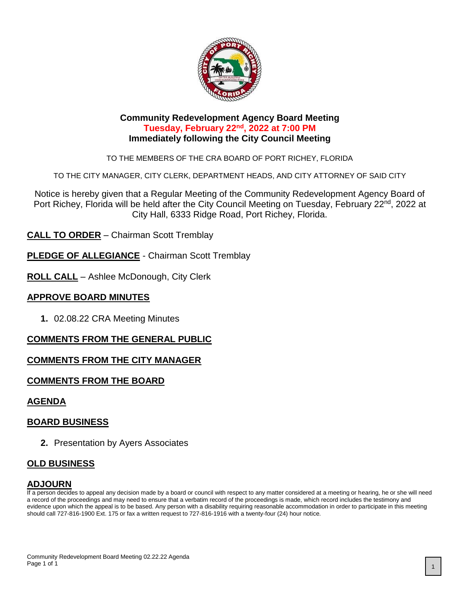

#### **Community Redevelopment Agency Board Meeting Tuesday, February 22nd, 2022 at 7:00 PM Immediately following the City Council Meeting**

TO THE MEMBERS OF THE CRA BOARD OF PORT RICHEY, FLORIDA

TO THE CITY MANAGER, CITY CLERK, DEPARTMENT HEADS, AND CITY ATTORNEY OF SAID CITY

Notice is hereby given that a Regular Meeting of the Community Redevelopment Agency Board of Port Richey, Florida will be held after the City Council Meeting on Tuesday, February 22<sup>nd</sup>, 2022 at City Hall, 6333 Ridge Road, Port Richey, Florida.

**CALL TO ORDER** – Chairman Scott Tremblay

**PLEDGE OF ALLEGIANCE** - Chairman Scott Tremblay

**ROLL CALL** – Ashlee McDonough, City Clerk

## **APPROVE BOARD MINUTES**

**1.** 02.08.22 CRA Meeting Minutes

## **COMMENTS FROM THE GENERAL PUBLIC**

## **COMMENTS FROM THE CITY MANAGER**

## **COMMENTS FROM THE BOARD**

## **AGENDA**

## **BOARD BUSINESS**

**2.** Presentation by Ayers Associates

## **OLD BUSINESS**

#### **ADJOURN**

If a person decides to appeal any decision made by a board or council with respect to any matter considered at a meeting or hearing, he or she will need a record of the proceedings and may need to ensure that a verbatim record of the proceedings is made, which record includes the testimony and evidence upon which the appeal is to be based. Any person with a disability requiring reasonable accommodation in order to participate in this meeting should call 727-816-1900 Ext. 175 or fax a written request to 727-816-1916 with a twenty-four (24) hour notice.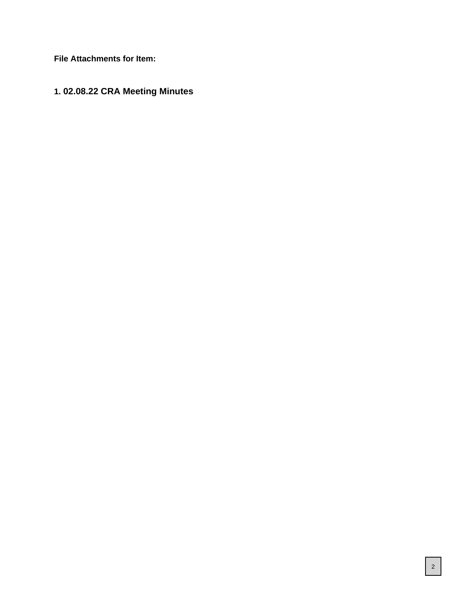**File Attachments for Item:**

# **1. 02.08.22 CRA Meeting Minutes**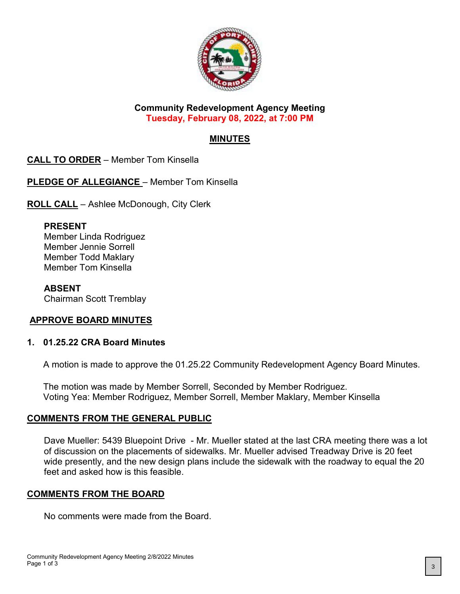

#### **Community Redevelopment Agency Meeting Tuesday, February 08, 2022, at 7:00 PM**

# **MINUTES**

**CALL TO ORDER** – Member Tom Kinsella

**PLEDGE OF ALLEGIANCE** – Member Tom Kinsella

**ROLL CALL** – Ashlee McDonough, City Clerk

#### **PRESENT**

Member Linda Rodriguez Member Jennie Sorrell Member Todd Maklary Member Tom Kinsella

## **ABSENT**

Chairman Scott Tremblay

## **APPROVE BOARD MINUTES**

#### **1. 01.25.22 CRA Board Minutes**

A motion is made to approve the 01.25.22 Community Redevelopment Agency Board Minutes.

The motion was made by Member Sorrell, Seconded by Member Rodriguez. Voting Yea: Member Rodriguez, Member Sorrell, Member Maklary, Member Kinsella

#### **COMMENTS FROM THE GENERAL PUBLIC**

Dave Mueller: 5439 Bluepoint Drive - Mr. Mueller stated at the last CRA meeting there was a lot of discussion on the placements of sidewalks. Mr. Mueller advised Treadway Drive is 20 feet wide presently, and the new design plans include the sidewalk with the roadway to equal the 20 feet and asked how is this feasible.

## **COMMENTS FROM THE BOARD**

No comments were made from the Board.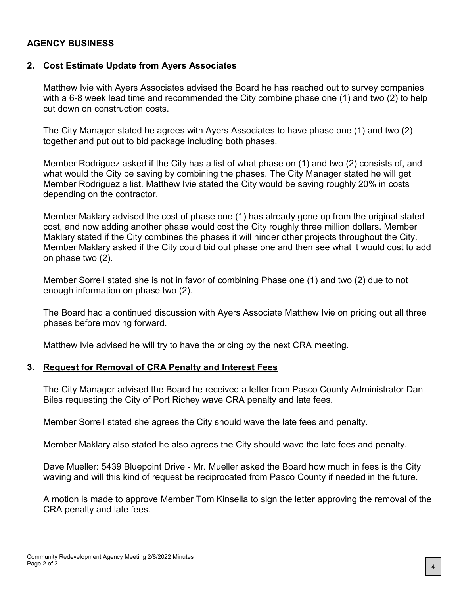#### **AGENCY BUSINESS**

#### **2. Cost Estimate Update from Ayers Associates**

Matthew Ivie with Ayers Associates advised the Board he has reached out to survey companies with a 6-8 week lead time and recommended the City combine phase one (1) and two (2) to help cut down on construction costs.

The City Manager stated he agrees with Ayers Associates to have phase one (1) and two (2) together and put out to bid package including both phases.

Member Rodriguez asked if the City has a list of what phase on (1) and two (2) consists of, and what would the City be saving by combining the phases. The City Manager stated he will get Member Rodriguez a list. Matthew Ivie stated the City would be saving roughly 20% in costs depending on the contractor.

Member Maklary advised the cost of phase one (1) has already gone up from the original stated cost, and now adding another phase would cost the City roughly three million dollars. Member Maklary stated if the City combines the phases it will hinder other projects throughout the City. Member Maklary asked if the City could bid out phase one and then see what it would cost to add on phase two (2).

Member Sorrell stated she is not in favor of combining Phase one (1) and two (2) due to not enough information on phase two (2).

The Board had a continued discussion with Ayers Associate Matthew Ivie on pricing out all three phases before moving forward.

Matthew Ivie advised he will try to have the pricing by the next CRA meeting.

#### **3. Request for Removal of CRA Penalty and Interest Fees**

The City Manager advised the Board he received a letter from Pasco County Administrator Dan Biles requesting the City of Port Richey wave CRA penalty and late fees.

Member Sorrell stated she agrees the City should wave the late fees and penalty.

Member Maklary also stated he also agrees the City should wave the late fees and penalty.

Dave Mueller: 5439 Bluepoint Drive - Mr. Mueller asked the Board how much in fees is the City waving and will this kind of request be reciprocated from Pasco County if needed in the future.

A motion is made to approve Member Tom Kinsella to sign the letter approving the removal of the CRA penalty and late fees.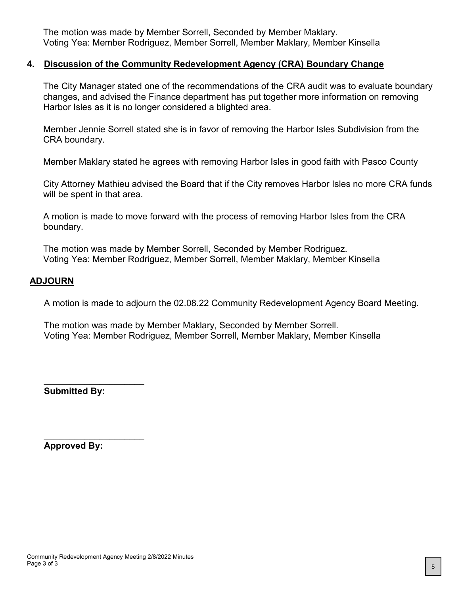The motion was made by Member Sorrell, Seconded by Member Maklary. Voting Yea: Member Rodriguez, Member Sorrell, Member Maklary, Member Kinsella

#### **4. Discussion of the Community Redevelopment Agency (CRA) Boundary Change**

The City Manager stated one of the recommendations of the CRA audit was to evaluate boundary changes, and advised the Finance department has put together more information on removing Harbor Isles as it is no longer considered a blighted area.

Member Jennie Sorrell stated she is in favor of removing the Harbor Isles Subdivision from the CRA boundary.

Member Maklary stated he agrees with removing Harbor Isles in good faith with Pasco County

City Attorney Mathieu advised the Board that if the City removes Harbor Isles no more CRA funds will be spent in that area.

A motion is made to move forward with the process of removing Harbor Isles from the CRA boundary.

The motion was made by Member Sorrell, Seconded by Member Rodriguez. Voting Yea: Member Rodriguez, Member Sorrell, Member Maklary, Member Kinsella

#### **ADJOURN**

A motion is made to adjourn the 02.08.22 Community Redevelopment Agency Board Meeting.

The motion was made by Member Maklary, Seconded by Member Sorrell. Voting Yea: Member Rodriguez, Member Sorrell, Member Maklary, Member Kinsella

**Submitted By:**

\_\_\_\_\_\_\_\_\_\_\_\_\_\_\_\_\_\_\_\_

\_\_\_\_\_\_\_\_\_\_\_\_\_\_\_\_\_\_\_\_

**Approved By:**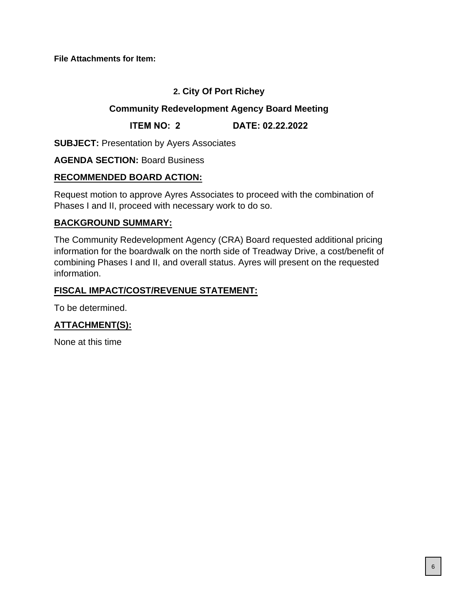**File Attachments for Item:**

## **2. City Of Port Richey**

#### **Community Redevelopment Agency Board Meeting**

**ITEM NO: 2 DATE: 02.22.2022**

**SUBJECT:** Presentation by Ayers Associates

#### **AGENDA SECTION:** Board Business

## **RECOMMENDED BOARD ACTION:**

Request motion to approve Ayres Associates to proceed with the combination of Phases I and II, proceed with necessary work to do so.

## **BACKGROUND SUMMARY:**

The Community Redevelopment Agency (CRA) Board requested additional pricing information for the boardwalk on the north side of Treadway Drive, a cost/benefit of combining Phases I and II, and overall status. Ayres will present on the requested information.

## **FISCAL IMPACT/COST/REVENUE STATEMENT:**

To be determined.

# **ATTACHMENT(S):**

None at this time